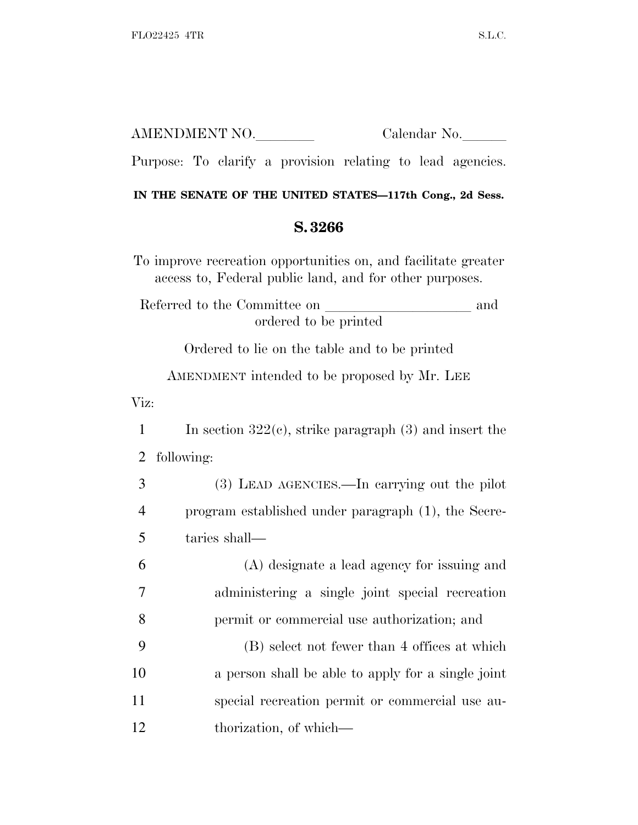|                                                                                                                           | AMENDMENT NO.<br>Calendar No.                               |  |
|---------------------------------------------------------------------------------------------------------------------------|-------------------------------------------------------------|--|
|                                                                                                                           | Purpose: To clarify a provision relating to lead agencies.  |  |
| IN THE SENATE OF THE UNITED STATES-117th Cong., 2d Sess.                                                                  |                                                             |  |
| S.3266                                                                                                                    |                                                             |  |
| To improve recreation opportunities on, and facilitate greater<br>access to, Federal public land, and for other purposes. |                                                             |  |
| Referred to the Committee on<br>ordered to be printed                                                                     |                                                             |  |
|                                                                                                                           | Ordered to lie on the table and to be printed               |  |
|                                                                                                                           | AMENDMENT intended to be proposed by Mr. LEE                |  |
| Viz:                                                                                                                      |                                                             |  |
| 1                                                                                                                         | In section $322(e)$ , strike paragraph $(3)$ and insert the |  |
| 2                                                                                                                         | following:                                                  |  |
| 3                                                                                                                         | (3) LEAD AGENCIES.—In carrying out the pilot                |  |
| 4                                                                                                                         | program established under paragraph (1), the Secre-         |  |
| 5                                                                                                                         | taries shall—                                               |  |
| 6                                                                                                                         | (A) designate a lead agency for issuing and                 |  |
| 7                                                                                                                         | administering a single joint special recreation             |  |
| 8                                                                                                                         | permit or commercial use authorization; and                 |  |
| 9                                                                                                                         | (B) select not fewer than 4 offices at which                |  |
| 10                                                                                                                        | a person shall be able to apply for a single joint          |  |
| 11                                                                                                                        | special recreation permit or commercial use au-             |  |
| 12                                                                                                                        | thorization, of which—                                      |  |
|                                                                                                                           |                                                             |  |